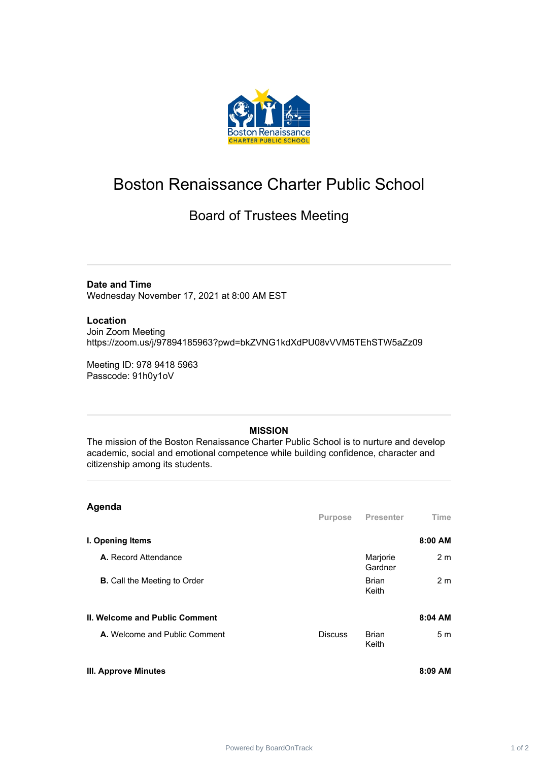

## Boston Renaissance Charter Public School

## Board of Trustees Meeting

**Date and Time** Wednesday November 17, 2021 at 8:00 AM EST

**Location**

Join Zoom Meeting https://zoom.us/j/97894185963?pwd=bkZVNG1kdXdPU08vVVM5TEhSTW5aZz09

Meeting ID: 978 9418 5963 Passcode: 91h0y1oV

## **MISSION**

The mission of the Boston Renaissance Charter Public School is to nurture and develop academic, social and emotional competence while building confidence, character and citizenship among its students.

| Agenda                                |                |                       |                |
|---------------------------------------|----------------|-----------------------|----------------|
|                                       | Purpose        | <b>Presenter</b>      | Time           |
| I. Opening Items                      |                |                       | 8:00 AM        |
| A. Record Attendance                  |                | Marjorie<br>Gardner   | 2 <sub>m</sub> |
| <b>B.</b> Call the Meeting to Order   |                | <b>Brian</b><br>Keith | 2 <sub>m</sub> |
| <b>II. Welcome and Public Comment</b> |                |                       | 8:04 AM        |
| A. Welcome and Public Comment         | <b>Discuss</b> | <b>Brian</b><br>Keith | 5m             |
| <b>III. Approve Minutes</b>           |                |                       | 8:09 AM        |